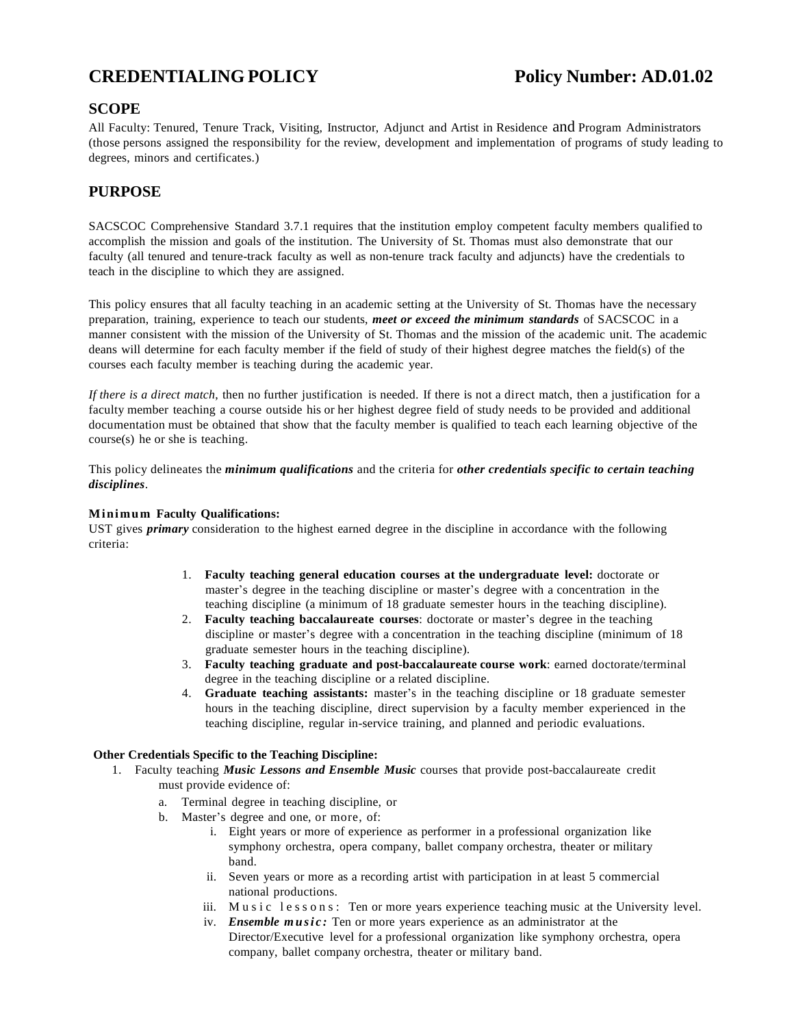# **CREDENTIALING POLICY Policy Number: AD.01.02**

## **SCOPE**

All Faculty: Tenured, Tenure Track, Visiting, Instructor, Adjunct and Artist in Residence and Program Administrators (those persons assigned the responsibility for the review, development and implementation of programs of study leading to degrees, minors and certificates.)

## **PURPOSE**

SACSCOC Comprehensive Standard 3.7.1 requires that the institution employ competent faculty members qualified to accomplish the mission and goals of the institution. The University of St. Thomas must also demonstrate that our faculty (all tenured and tenure-track faculty as well as non-tenure track faculty and adjuncts) have the credentials to teach in the discipline to which they are assigned.

This policy ensures that all faculty teaching in an academic setting at the University of St. Thomas have the necessary preparation, training, experience to teach our students, *meet or exceed the minimum standards* of SACSCOC in a manner consistent with the mission of the University of St. Thomas and the mission of the academic unit. The academic deans will determine for each faculty member if the field of study of their highest degree matches the field(s) of the courses each faculty member is teaching during the academic year.

*If there is a direct match*, then no further justification is needed. If there is not a direct match, then a justification for a faculty member teaching a course outside his or her highest degree field of study needs to be provided and additional documentation must be obtained that show that the faculty member is qualified to teach each learning objective of the course(s) he or she is teaching.

This policy delineates the *minimum qualifications* and the criteria for *other credentials specific to certain teaching disciplines*.

#### **Mi ni mu m Faculty Qualifications:**

UST gives *primary* consideration to the highest earned degree in the discipline in accordance with the following criteria:

- 1. **Faculty teaching general education courses at the undergraduate level:** doctorate or master's degree in the teaching discipline or master's degree with a concentration in the teaching discipline (a minimum of 18 graduate semester hours in the teaching discipline).
- 2. **Faculty teaching baccalaureate courses**: doctorate or master's degree in the teaching discipline or master's degree with a concentration in the teaching discipline (minimum of 18 graduate semester hours in the teaching discipline).
- 3. **Faculty teaching graduate and post-baccalaureate course work**: earned doctorate/terminal degree in the teaching discipline or a related discipline.
- 4. **Graduate teaching assistants:** master's in the teaching discipline or 18 graduate semester hours in the teaching discipline, direct supervision by a faculty member experienced in the teaching discipline, regular in-service training, and planned and periodic evaluations.

#### **Other Credentials Specific to the Teaching Discipline:**

- 1. Faculty teaching *Music Lessons and Ensemble Music* courses that provide post-baccalaureate credit must provide evidence of:
	- a. Terminal degree in teaching discipline, or
	- b. Master's degree and one, or more, of:
		- i. Eight years or more of experience as performer in a professional organization like symphony orchestra, opera company, ballet company orchestra, theater or military band.
		- ii. Seven years or more as a recording artist with participation in at least 5 commercial national productions.
		- iii. Music lessons: Ten or more years experience teaching music at the University level.
		- iv. *Ensemble music*: Ten or more years experience as an administrator at the Director/Executive level for a professional organization like symphony orchestra, opera company, ballet company orchestra, theater or military band.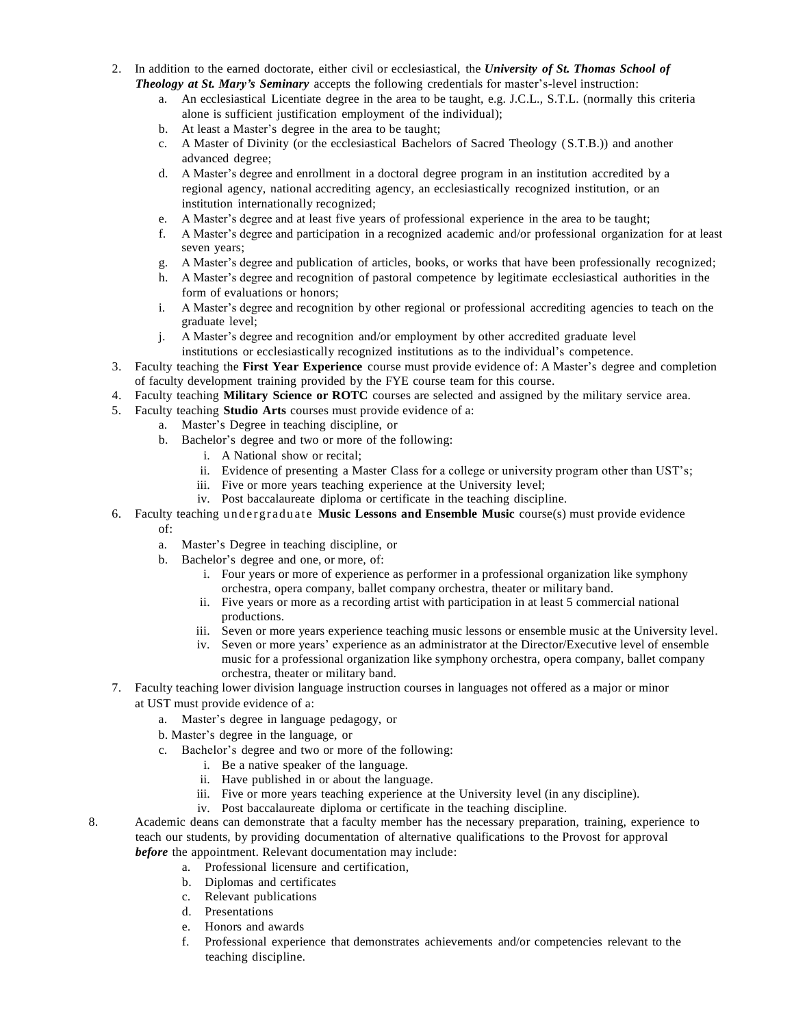- 2. In addition to the earned doctorate, either civil or ecclesiastical, the *University of St. Thomas School of Theology at St. Mary's Seminary* accepts the following credentials for master's-level instruction:
	- a. An ecclesiastical Licentiate degree in the area to be taught, e.g. J.C.L., S.T.L. (normally this criteria alone is sufficient justification employment of the individual);
	- b. At least a Master's degree in the area to be taught;
	- c. A Master of Divinity (or the ecclesiastical Bachelors of Sacred Theology (S.T.B.)) and another advanced degree;
	- d. A Master's degree and enrollment in a doctoral degree program in an institution accredited by a regional agency, national accrediting agency, an ecclesiastically recognized institution, or an institution internationally recognized;
	- e. A Master's degree and at least five years of professional experience in the area to be taught;
	- f. A Master's degree and participation in a recognized academic and/or professional organization for at least seven years;
	- g. A Master's degree and publication of articles, books, or works that have been professionally recognized;
	- h. A Master's degree and recognition of pastoral competence by legitimate ecclesiastical authorities in the form of evaluations or honors;
	- i. A Master's degree and recognition by other regional or professional accrediting agencies to teach on the graduate level;
	- j. A Master's degree and recognition and/or employment by other accredited graduate level institutions or ecclesiastically recognized institutions as to the individual's competence.
- 3. Faculty teaching the **First Year Experience** course must provide evidence of: A Master's degree and completion of faculty development training provided by the FYE course team for this course.
- 4. Faculty teaching **Military Science or ROTC** courses are selected and assigned by the military service area.
- 5. Faculty teaching **Studio Arts** courses must provide evidence of a:
	- a. Master's Degree in teaching discipline, or
	- b. Bachelor's degree and two or more of the following:
		- i. A National show or recital;
		- ii. Evidence of presenting a Master Class for a college or university program other than UST's;
		- iii. Five or more years teaching experience at the University level;
		- iv. Post baccalaureate diploma or certificate in the teaching discipline.
- 6. Faculty teaching u nd e rgradu at e **Music Lessons and Ensemble Music** course(s) must provide evidence

## of:

- a. Master's Degree in teaching discipline, or
- b. Bachelor's degree and one, or more, of:
	- i. Four years or more of experience as performer in a professional organization like symphony orchestra, opera company, ballet company orchestra, theater or military band.
	- ii. Five years or more as a recording artist with participation in at least 5 commercial national productions.
	- iii. Seven or more years experience teaching music lessons or ensemble music at the University level.
	- iv. Seven or more years' experience as an administrator at the Director/Executive level of ensemble music for a professional organization like symphony orchestra, opera company, ballet company orchestra, theater or military band.
- 7. Faculty teaching lower division language instruction courses in languages not offered as a major or minor at UST must provide evidence of a:
	- a. Master's degree in language pedagogy, or
	- b. Master's degree in the language, or
	- c. Bachelor's degree and two or more of the following:
		- i. Be a native speaker of the language.
		- ii. Have published in or about the language.
		- iii. Five or more years teaching experience at the University level (in any discipline).
		- iv. Post baccalaureate diploma or certificate in the teaching discipline.
- 8. Academic deans can demonstrate that a faculty member has the necessary preparation, training, experience to teach our students, by providing documentation of alternative qualifications to the Provost for approval *before* the appointment. Relevant documentation may include:
	- a. Professional licensure and certification,
	- b. Diplomas and certificates
	- c. Relevant publications
	- d. Presentations
	- e. Honors and awards
	- f. Professional experience that demonstrates achievements and/or competencies relevant to the teaching discipline.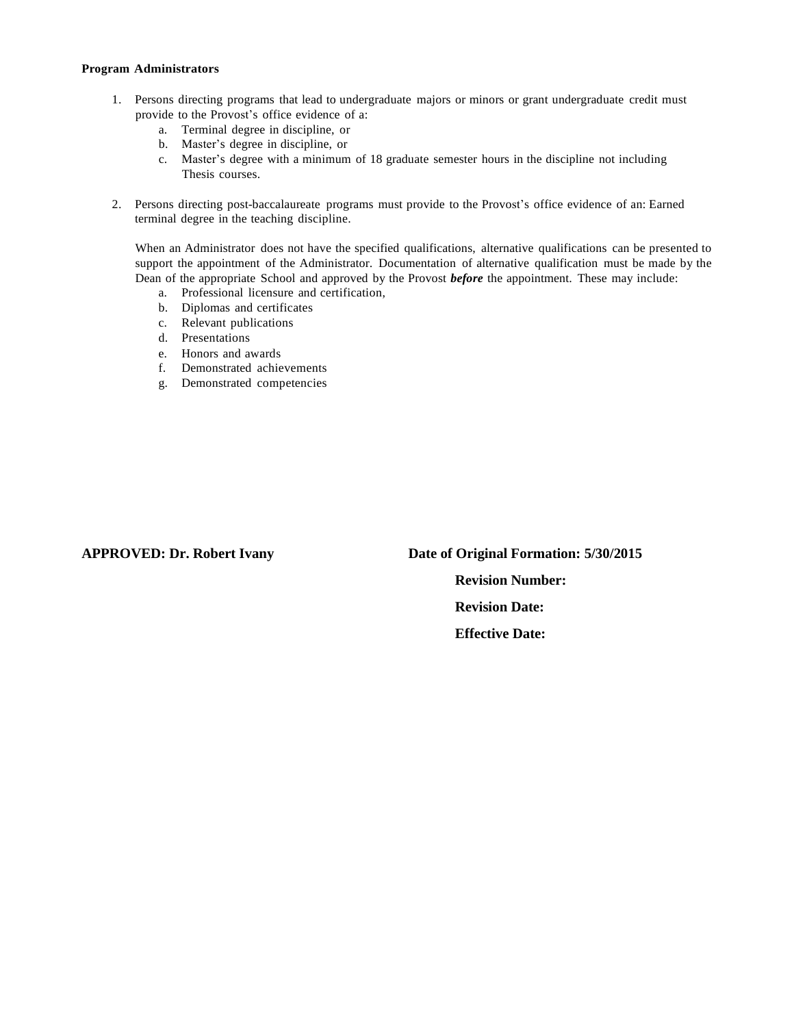#### **Program Administrators**

- 1. Persons directing programs that lead to undergraduate majors or minors or grant undergraduate credit must provide to the Provost's office evidence of a:
	- a. Terminal degree in discipline, or
	- b. Master's degree in discipline, or
	- c. Master's degree with a minimum of 18 graduate semester hours in the discipline not including Thesis courses.
- 2. Persons directing post-baccalaureate programs must provide to the Provost's office evidence of an: Earned terminal degree in the teaching discipline.

When an Administrator does not have the specified qualifications, alternative qualifications can be presented to support the appointment of the Administrator. Documentation of alternative qualification must be made by the Dean of the appropriate School and approved by the Provost *before* the appointment. These may include:

- a. Professional licensure and certification,
- b. Diplomas and certificates
- c. Relevant publications
- d. Presentations
- e. Honors and awards
- f. Demonstrated achievements
- g. Demonstrated competencies

**APPROVED: Dr. Robert Ivany Date of Original Formation: 5/30/2015 Revision Number: Revision Date: Effective Date:**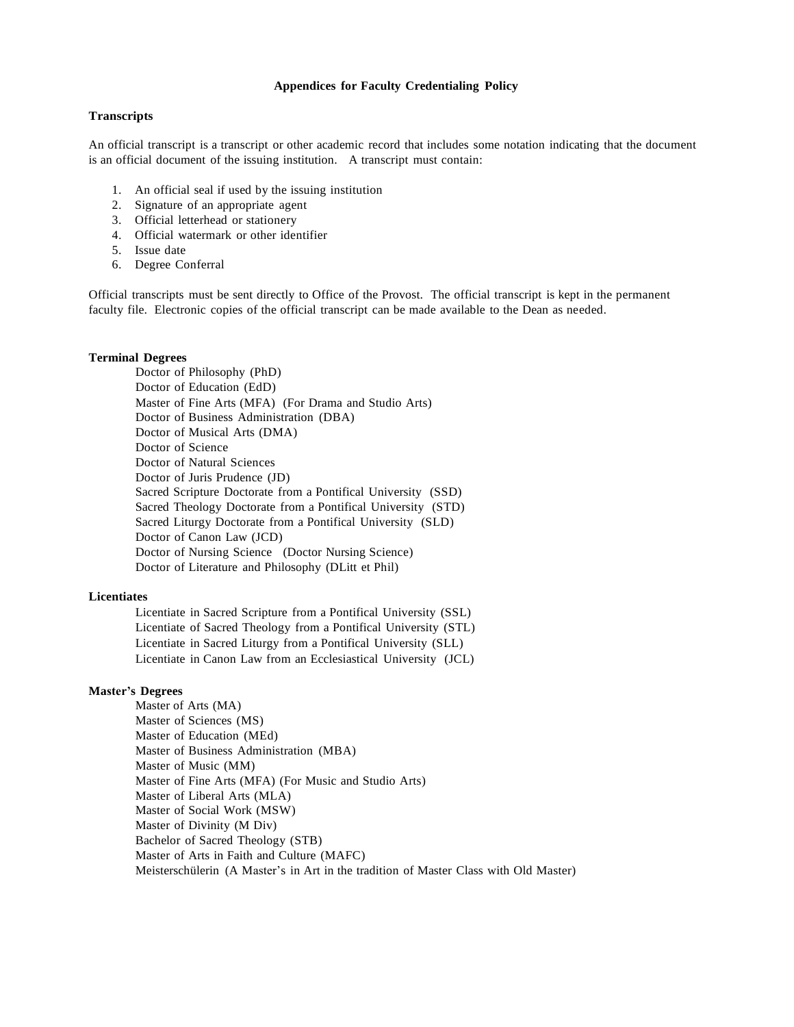#### **Appendices for Faculty Credentialing Policy**

#### **Transcripts**

An official transcript is a transcript or other academic record that includes some notation indicating that the document is an official document of the issuing institution. A transcript must contain:

- 1. An official seal if used by the issuing institution
- 2. Signature of an appropriate agent
- 3. Official letterhead or stationery
- 4. Official watermark or other identifier
- 5. Issue date
- 6. Degree Conferral

Official transcripts must be sent directly to Office of the Provost. The official transcript is kept in the permanent faculty file. Electronic copies of the official transcript can be made available to the Dean as needed.

#### **Terminal Degrees**

Doctor of Philosophy (PhD) Doctor of Education (EdD) Master of Fine Arts (MFA) (For Drama and Studio Arts) Doctor of Business Administration (DBA) Doctor of Musical Arts (DMA) Doctor of Science Doctor of Natural Sciences Doctor of Juris Prudence (JD) Sacred Scripture Doctorate from a Pontifical University (SSD) Sacred Theology Doctorate from a Pontifical University (STD) Sacred Liturgy Doctorate from a Pontifical University (SLD) Doctor of Canon Law (JCD) Doctor of Nursing Science (Doctor Nursing Science) Doctor of Literature and Philosophy (DLitt et Phil)

#### **Licentiates**

Licentiate in Sacred Scripture from a Pontifical University (SSL) Licentiate of Sacred Theology from a Pontifical University (STL) Licentiate in Sacred Liturgy from a Pontifical University (SLL) Licentiate in Canon Law from an Ecclesiastical University (JCL)

#### **Master's Degrees**

Master of Arts (MA) Master of Sciences (MS) Master of Education (MEd) Master of Business Administration (MBA) Master of Music (MM) Master of Fine Arts (MFA) (For Music and Studio Arts) Master of Liberal Arts (MLA) Master of Social Work (MSW) Master of Divinity (M Div) Bachelor of Sacred Theology (STB) Master of Arts in Faith and Culture (MAFC) Meisterschülerin (A Master's in Art in the tradition of Master Class with Old Master)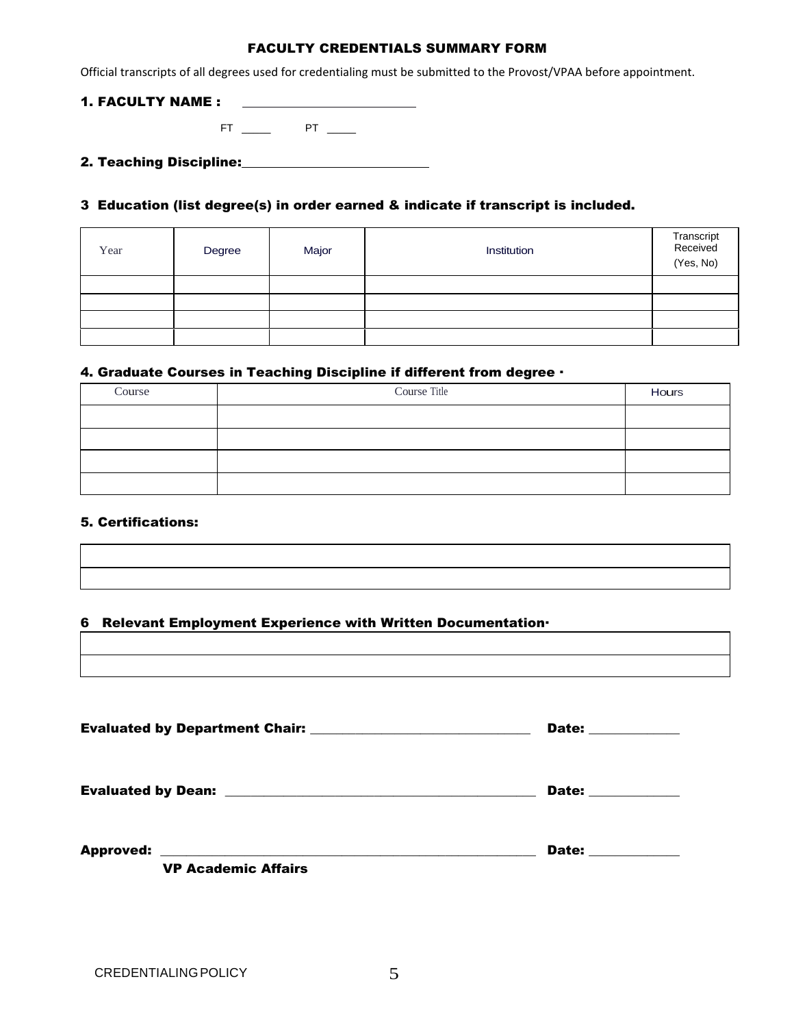## FACULTY CREDENTIALS SUMMARY FORM

Official transcripts of all degrees used for credentialing must be submitted to the Provost/VPAA before appointment.

### 1. FACULTY NAME :

 $FT$   $PT$   $PT$   $T$ 

2. Teaching Discipline:

## 3 Education (list degree(s) in order earned & indicate if transcript is included.

| Year | Degree | Major | Institution | Transcript<br>Received<br>(Yes, No) |
|------|--------|-------|-------------|-------------------------------------|
|      |        |       |             |                                     |
|      |        |       |             |                                     |
|      |        |       |             |                                     |
|      |        |       |             |                                     |

## 4. Graduate Courses in Teaching Discipline if different from degree ·

| Course | Course Title | Hours |
|--------|--------------|-------|
|        |              |       |
|        |              |       |
|        |              |       |
|        |              |       |

## 5. Certifications:

## 6 Relevant Employment Experience with Written Documentation·

|                            | Date: ___________ |
|----------------------------|-------------------|
|                            | Date: ___________ |
| <b>VP Academic Affairs</b> | Date: _________   |